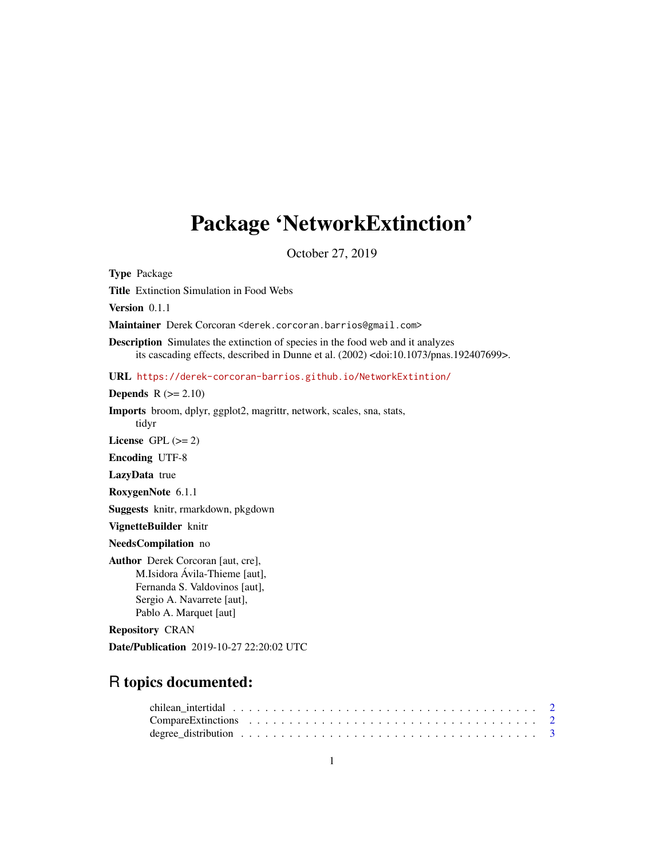## Package 'NetworkExtinction'

October 27, 2019

Type Package

Title Extinction Simulation in Food Webs

Version 0.1.1

Maintainer Derek Corcoran <derek.corcoran.barrios@gmail.com>

Description Simulates the extinction of species in the food web and it analyzes its cascading effects, described in Dunne et al. (2002) <doi:10.1073/pnas.192407699>.

URL <https://derek-corcoran-barrios.github.io/NetworkExtintion/>

**Depends**  $R$  ( $>= 2.10$ )

Imports broom, dplyr, ggplot2, magrittr, network, scales, sna, stats,

License GPL  $(>= 2)$ 

Encoding UTF-8

tidyr

LazyData true

RoxygenNote 6.1.1

Suggests knitr, rmarkdown, pkgdown

VignetteBuilder knitr

NeedsCompilation no

Author Derek Corcoran [aut, cre], M.Isidora Ávila-Thieme [aut], Fernanda S. Valdovinos [aut], Sergio A. Navarrete [aut], Pablo A. Marquet [aut]

Repository CRAN

Date/Publication 2019-10-27 22:20:02 UTC

### R topics documented:

| chilean intertidal $\ldots \ldots \ldots \ldots \ldots \ldots \ldots \ldots \ldots \ldots \ldots \ldots \ldots$ |  |  |  |  |  |  |  |  |  |  |  |  |  |  |  |  |  |  |  |
|-----------------------------------------------------------------------------------------------------------------|--|--|--|--|--|--|--|--|--|--|--|--|--|--|--|--|--|--|--|
|                                                                                                                 |  |  |  |  |  |  |  |  |  |  |  |  |  |  |  |  |  |  |  |
|                                                                                                                 |  |  |  |  |  |  |  |  |  |  |  |  |  |  |  |  |  |  |  |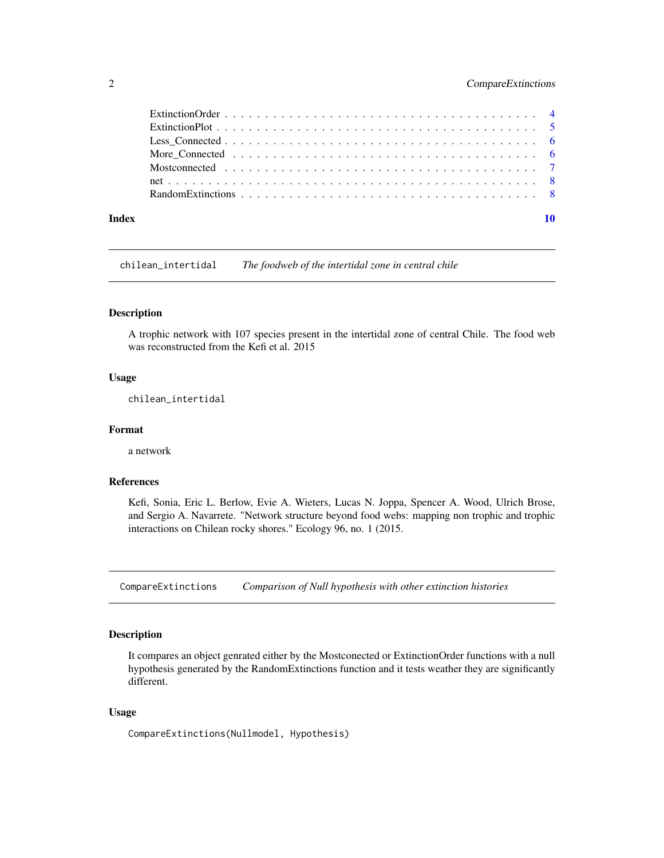#### <span id="page-1-0"></span>2 CompareExtinctions

| Index | 10 |
|-------|----|

chilean\_intertidal *The foodweb of the intertidal zone in central chile*

#### Description

A trophic network with 107 species present in the intertidal zone of central Chile. The food web was reconstructed from the Kefi et al. 2015

#### Usage

chilean\_intertidal

#### Format

a network

#### References

Kefi, Sonia, Eric L. Berlow, Evie A. Wieters, Lucas N. Joppa, Spencer A. Wood, Ulrich Brose, and Sergio A. Navarrete. "Network structure beyond food webs: mapping non trophic and trophic interactions on Chilean rocky shores." Ecology 96, no. 1 (2015.

CompareExtinctions *Comparison of Null hypothesis with other extinction histories*

#### Description

It compares an object genrated either by the Mostconected or ExtinctionOrder functions with a null hypothesis generated by the RandomExtinctions function and it tests weather they are significantly different.

#### Usage

CompareExtinctions(Nullmodel, Hypothesis)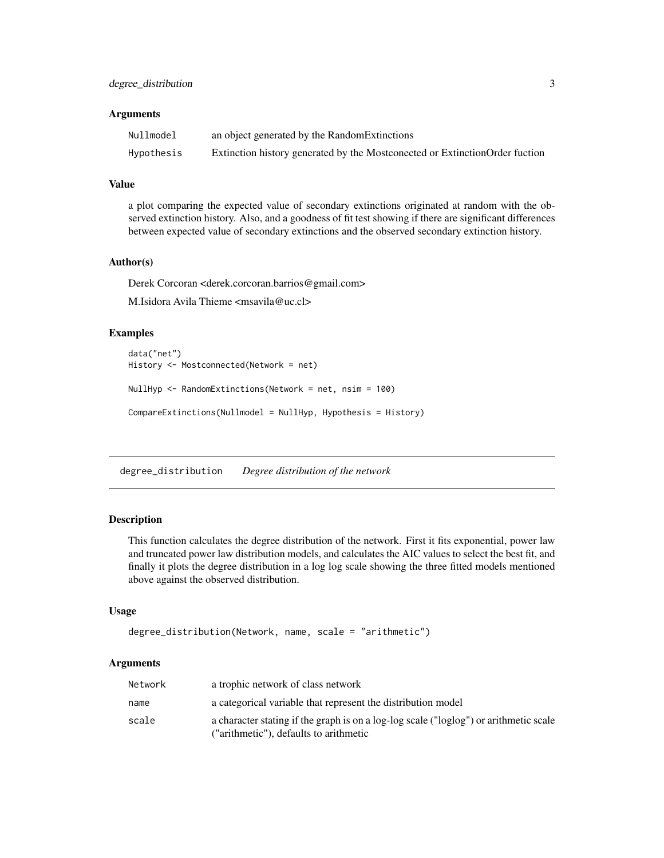#### <span id="page-2-0"></span>Arguments

| Nullmodel  | an object generated by the Random Extinctions                                |
|------------|------------------------------------------------------------------------------|
| Hypothesis | Extinction history generated by the Mostconected or Extinction Order fuction |

#### Value

a plot comparing the expected value of secondary extinctions originated at random with the observed extinction history. Also, and a goodness of fit test showing if there are significant differences between expected value of secondary extinctions and the observed secondary extinction history.

#### Author(s)

Derek Corcoran <derek.corcoran.barrios@gmail.com>

M.Isidora Avila Thieme <msavila@uc.cl>

#### Examples

```
data("net")
History <- Mostconnected(Network = net)
NullHyp <- RandomExtinctions(Network = net, nsim = 100)
CompareExtinctions(Nullmodel = NullHyp, Hypothesis = History)
```
degree\_distribution *Degree distribution of the network*

#### **Description**

This function calculates the degree distribution of the network. First it fits exponential, power law and truncated power law distribution models, and calculates the AIC values to select the best fit, and finally it plots the degree distribution in a log log scale showing the three fitted models mentioned above against the observed distribution.

#### Usage

```
degree_distribution(Network, name, scale = "arithmetic")
```
#### Arguments

| Network | a trophic network of class network                                                                                              |
|---------|---------------------------------------------------------------------------------------------------------------------------------|
| name    | a categorical variable that represent the distribution model                                                                    |
| scale   | a character stating if the graph is on a log-log scale ("loglog") or arithmetic scale<br>("arithmetic"), defaults to arithmetic |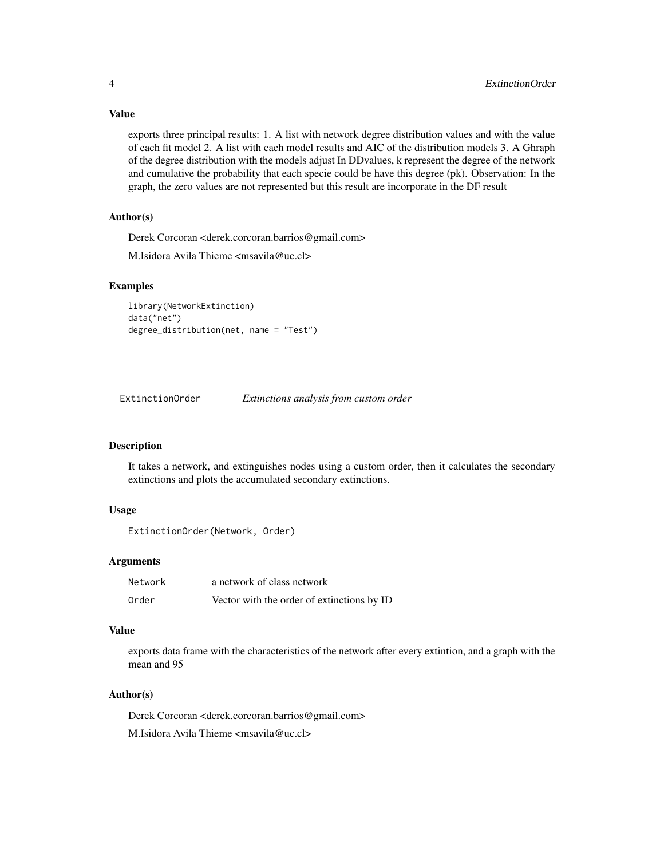Value

exports three principal results: 1. A list with network degree distribution values and with the value of each fit model 2. A list with each model results and AIC of the distribution models 3. A Ghraph of the degree distribution with the models adjust In DDvalues, k represent the degree of the network and cumulative the probability that each specie could be have this degree (pk). Observation: In the graph, the zero values are not represented but this result are incorporate in the DF result

#### Author(s)

Derek Corcoran <derek.corcoran.barrios@gmail.com>

M.Isidora Avila Thieme <msavila@uc.cl>

#### Examples

```
library(NetworkExtinction)
data("net")
degree_distribution(net, name = "Test")
```
ExtinctionOrder *Extinctions analysis from custom order*

#### **Description**

It takes a network, and extinguishes nodes using a custom order, then it calculates the secondary extinctions and plots the accumulated secondary extinctions.

#### Usage

```
ExtinctionOrder(Network, Order)
```
#### Arguments

| Network | a network of class network                 |
|---------|--------------------------------------------|
| Order   | Vector with the order of extinctions by ID |

#### Value

exports data frame with the characteristics of the network after every extintion, and a graph with the mean and 95

#### Author(s)

Derek Corcoran <derek.corcoran.barrios@gmail.com> M.Isidora Avila Thieme <msavila@uc.cl>

<span id="page-3-0"></span>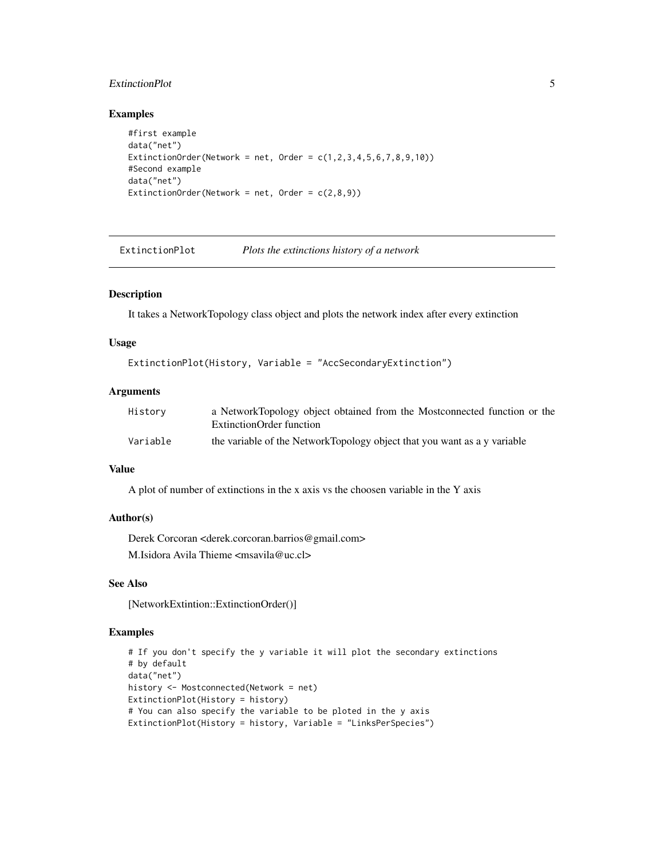#### <span id="page-4-0"></span>ExtinctionPlot 5

#### Examples

```
#first example
data("net")
ExtinctionOrder(Network = net, Order = c(1, 2, 3, 4, 5, 6, 7, 8, 9, 10))
#Second example
data("net")
ExtinctionOrder(Network = net, Order = c(2,8,9))
```
ExtinctionPlot *Plots the extinctions history of a network*

#### Description

It takes a NetworkTopology class object and plots the network index after every extinction

#### Usage

```
ExtinctionPlot(History, Variable = "AccSecondaryExtinction")
```
#### Arguments

| History  | a NetworkTopology object obtained from the Mostconnected function or the |
|----------|--------------------------------------------------------------------------|
|          | ExtinctionOrder function                                                 |
| Variable | the variable of the NetworkTopology object that you want as a y variable |

#### Value

A plot of number of extinctions in the x axis vs the choosen variable in the Y axis

#### Author(s)

Derek Corcoran <derek.corcoran.barrios@gmail.com> M.Isidora Avila Thieme <msavila@uc.cl>

#### See Also

[NetworkExtintion::ExtinctionOrder()]

#### Examples

```
# If you don't specify the y variable it will plot the secondary extinctions
# by default
data("net")
history <- Mostconnected(Network = net)
ExtinctionPlot(History = history)
# You can also specify the variable to be ploted in the y axis
ExtinctionPlot(History = history, Variable = "LinksPerSpecies")
```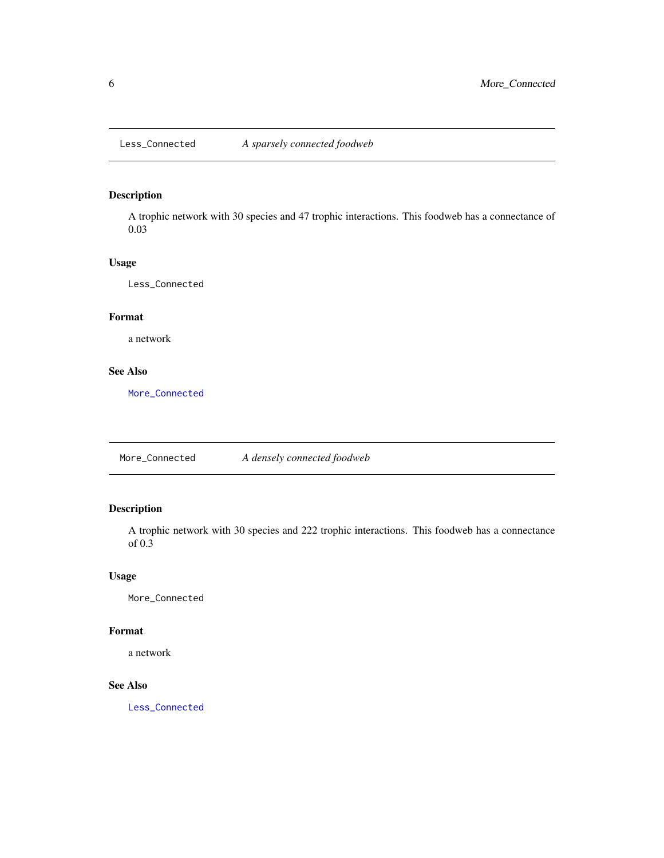#### <span id="page-5-2"></span><span id="page-5-0"></span>Description

A trophic network with 30 species and 47 trophic interactions. This foodweb has a connectance of 0.03

#### Usage

Less\_Connected

#### Format

a network

#### See Also

[More\\_Connected](#page-5-1)

<span id="page-5-1"></span>More\_Connected *A densely connected foodweb*

#### Description

A trophic network with 30 species and 222 trophic interactions. This foodweb has a connectance of 0.3

#### Usage

More\_Connected

#### Format

a network

#### See Also

[Less\\_Connected](#page-5-2)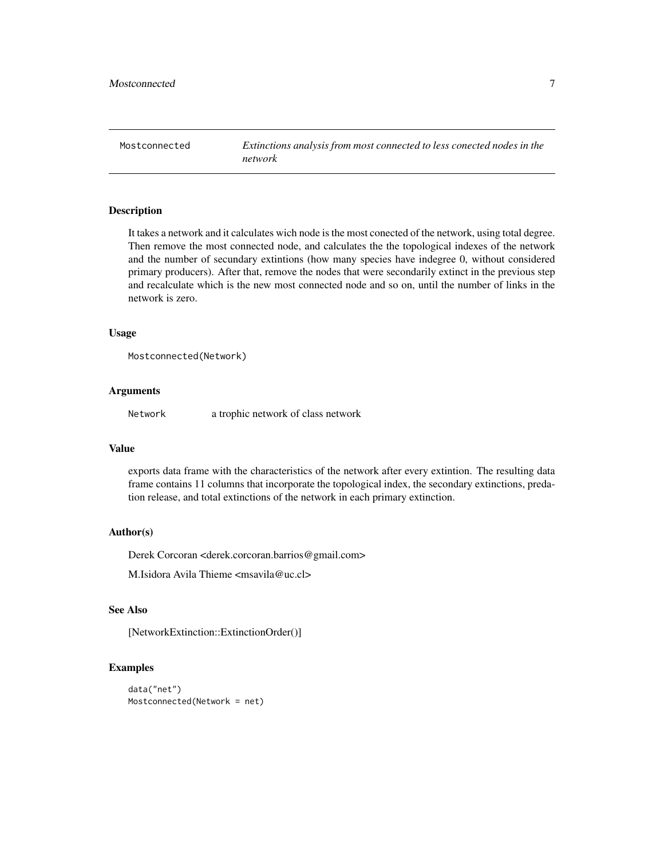<span id="page-6-0"></span>Mostconnected *Extinctions analysis from most connected to less conected nodes in the network*

#### Description

It takes a network and it calculates wich node is the most conected of the network, using total degree. Then remove the most connected node, and calculates the the topological indexes of the network and the number of secundary extintions (how many species have indegree 0, without considered primary producers). After that, remove the nodes that were secondarily extinct in the previous step and recalculate which is the new most connected node and so on, until the number of links in the network is zero.

#### Usage

```
Mostconnected(Network)
```
#### Arguments

Network a trophic network of class network

#### Value

exports data frame with the characteristics of the network after every extintion. The resulting data frame contains 11 columns that incorporate the topological index, the secondary extinctions, predation release, and total extinctions of the network in each primary extinction.

#### Author(s)

Derek Corcoran <derek.corcoran.barrios@gmail.com>

M.Isidora Avila Thieme <msavila@uc.cl>

#### See Also

[NetworkExtinction::ExtinctionOrder()]

#### Examples

```
data("net")
Mostconnected(Network = net)
```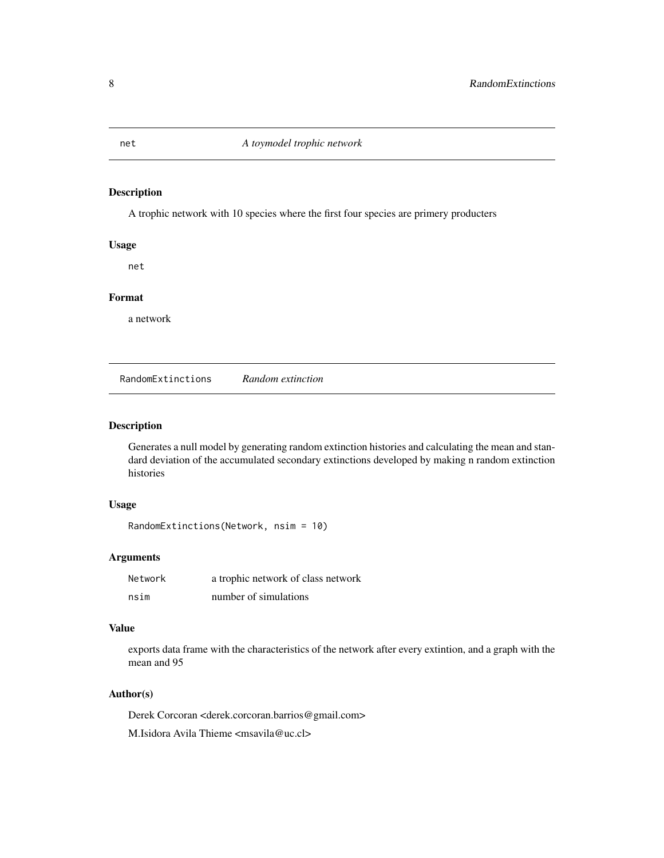<span id="page-7-0"></span>

#### Description

A trophic network with 10 species where the first four species are primery producters

#### Usage

net

#### Format

a network

RandomExtinctions *Random extinction*

#### Description

Generates a null model by generating random extinction histories and calculating the mean and standard deviation of the accumulated secondary extinctions developed by making n random extinction histories

#### Usage

RandomExtinctions(Network, nsim = 10)

#### Arguments

| Network | a trophic network of class network |
|---------|------------------------------------|
| nsim    | number of simulations              |

#### Value

exports data frame with the characteristics of the network after every extintion, and a graph with the mean and 95

#### Author(s)

Derek Corcoran <derek.corcoran.barrios@gmail.com> M.Isidora Avila Thieme <msavila@uc.cl>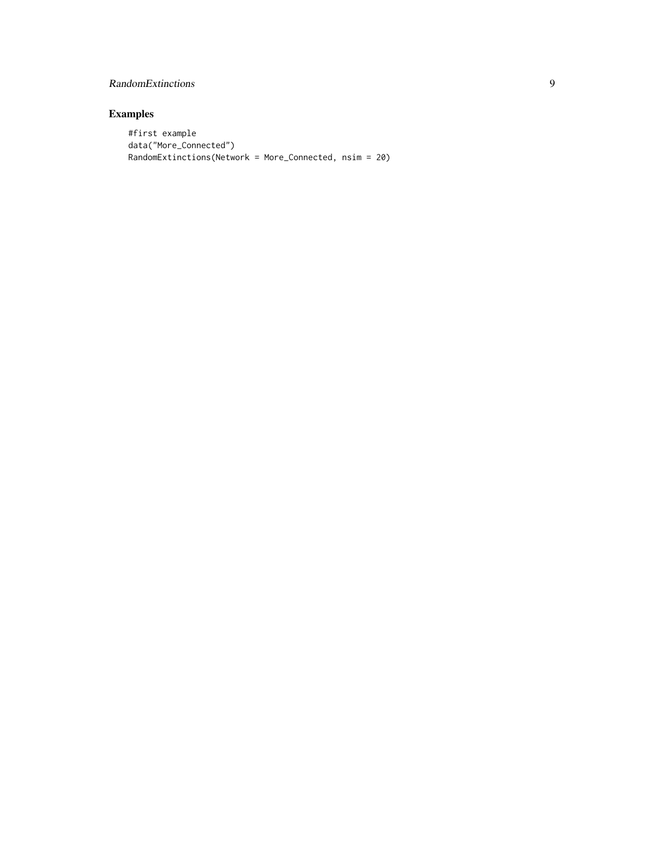#### RandomExtinctions 9

#### Examples

```
#first example
data("More_Connected")
RandomExtinctions(Network = More_Connected, nsim = 20)
```